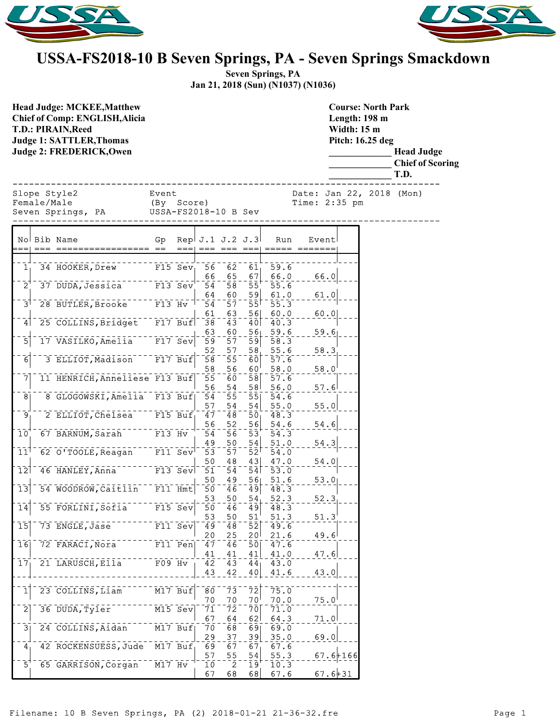



## **USSA-FS2018-10 B Seven Springs, PA - Seven Springs Smackdown**

**Seven Springs, PA Jan 21, 2018 (Sun) (N1037) (N1036)**

**Course: North Park**

**Head Judge: MCKEE,Matthew Chief of Comp: ENGLISH,Alicia T.D.: PIRAIN,Reed Judge 1: SATTLER,Thomas Judge 2: FREDERICK,Owen** 

**Length: 198 m Width: 15 m Pitch: 16.25 deg \_\_\_\_\_\_\_\_\_\_\_\_\_ Head Judge \_\_\_\_\_\_\_\_\_\_\_\_\_ Chief of Scoring \_\_\_\_\_\_\_\_\_\_\_\_\_ T.D.** ------------------------------------------------------------------------------ Slope Style2 Event Date: Jan 22, 2018 (Mon) Female/Male (By Score) Time: 2:35 pm Seven Springs, PA USSA-FS2018-10 B Sev ------------------------------------------------------------------------------ No Bib Name Gp Rep J.1 J.2 J.3 Run Event === === ================= == === === === === ===== =======  $1 - 34$  HOOKER, Drew F15 Sev 56 62 61 59.6<br>66 65 67 66.0 66 65 67 66.0 66.0 2 37 DUDA, Jessica F13 Sev 54 58 55 55.6  $64 - 60 - 59 - 61.0 - 61.0$ 3 28 BUTLER, Brooke F13 Hv 54 57 55 55.3  $\frac{61}{38}$  -  $\frac{63}{43}$  -  $\frac{56}{40}$  -  $\frac{60.0}{40.3}$  - - -  $\frac{60.0}{40.3}$ 4 25 COLLINS, Bridget F17 Buf 38 43 40 40.3  $\frac{63}{59}$  -  $\frac{60}{57}$  -  $\frac{56}{59}$  -  $\frac{59.6}{58.3}$  - - -  $\frac{59.6}{59}$ 5 17 VASILKO,Amelia F17 Sev 59 57 59 58.3 52 57 58 55.6 58.3<br>58 55 60 57.6 6 3 ELLIOT, Madison F17 Buf 58 55 60 57.6 58 56 60 58.0 58.0 7 11 HENRICH, Anneliese F13 Buf 55 60 58 57.6 56 54 58 56.0 57.6<br>54 55 55 54.6 8 6 GLOGOWSKI, Amelia F13 Buf 54 55 55 54.6 57 54 54 55.0 55.0 9 2 ELLIOT, Chelsea F15 Buf 47 48 50 48.3  $\frac{56}{54}$  -  $\frac{52}{56}$  -  $\frac{56}{53}$  -  $\frac{54.6}{54.3}$  - - -  $\frac{54.6}{54}$  $10^{1}$  67 BARNUM, Sarah F13 Hv 54 56 53 54.3  $\frac{49}{53}$  -  $\frac{50}{57}$  -  $\frac{54}{52}$  -  $\frac{51.0}{54.0}$  - - -  $\frac{54.3}{54}$  $11^{\dagger}$  62 O'TOOLE, Reagan F11 Sev 53 57 52 54.0  $\frac{50}{51} - \frac{48}{54} - \frac{43}{54} - \frac{47.0}{53.0} - \frac{54.0}{54}$ 12 46 HANLEY, Anna F13 Sev 51 54 54 53.0  $\frac{50}{50}$   $\frac{49}{46}$   $\frac{56}{49}$   $\frac{51.6}{48.3}$   $\frac{53.0}{46}$ 13 54 WOODROW, Caitlin F11 Hmt 50 46 49 48.3  $\frac{53}{50}$  -  $\frac{50}{46}$  -  $\frac{54}{49}$  -  $\frac{52.3}{48.3}$  - -  $\frac{52.3}{48.3}$ 14 55 FORLINI, Sofia F15 Sev 50 46 49 48.3  $53$   $50$   $51$   $51.3$   $51.3$ 15 73 ENGLE, Jase F11 Sev 49 48 52 49.6  $\frac{20}{47}$   $\frac{25}{46}$   $\frac{20}{50}$   $\frac{21.6}{47.6}$   $\frac{49.6}{49}$ 16 72 FARACI, Nora F11 Pen  $\frac{41}{42}$  -  $\frac{41}{43}$  -  $\frac{41}{44}$  -  $\frac{41}{43}$  0 - - -  $\frac{47.6}{47}$  $17$  21 LARUSCH, Ella F09 Hv  $142$  $43 - 42 - 40$   $41.6 - 43.0$ 1 23 COLLINS, Liam M17 Buf 80 73 72 75.0  $70$   $-70$   $-70$   $-70$   $-0$   $-75.0$ <br> $71$   $-72$   $-70$   $-71.0$  $2^{\degree}$  36 DUDA, Tyler  $M15$  Sev 67 64 62 64.3 71.0 3 24 COLLINS, Aidan M17 Buf 70 68 69 69.0 29 37 39 35.0 69.0 4 42 ROCKENSUESS, Jude M17 Buf 69 67 67 67 67.6 57 55 54 55.3 67.6+166  $5^{1-}$  65 GARRISON, Corgan  $-$  M17 Hv  $^{-1-}$  10  $-$  2  $-$  19<sup>1</sup> - 10.3<br>  $\begin{vmatrix} 67 & 68 & 68 \end{vmatrix}$  67.6

 $67.6 + 31$